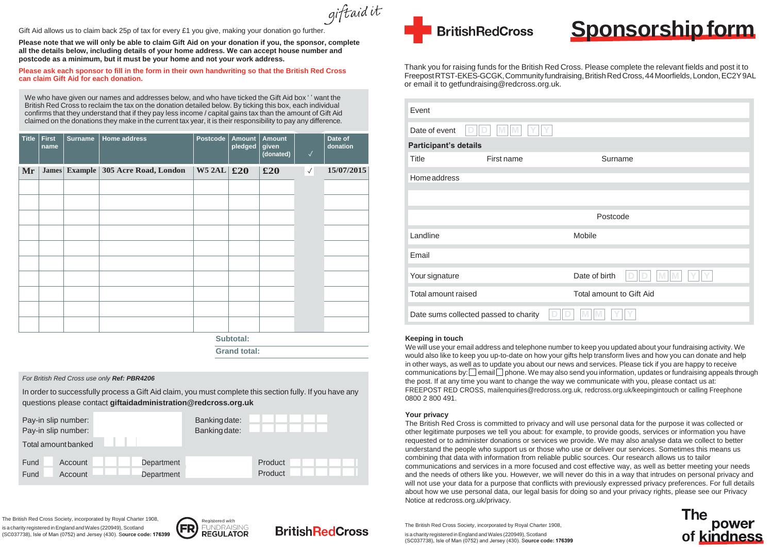giftaid it

Gift Aid allows us to claim back 25p of tax for every £1 you give, making your donation go further

## *For British Red Cross use only Ref: PBR4206*

In order to successfully process a Gift Aid claim, you must complete this section fully. If you have any questions please contact **[giftaidadministration@redcross.org.uk](mailto:giftaidadministration@redcross.org.uk)**

| Pay-in slip number:<br>Pay-in slip number:<br>Total amount banked |                           |                          | Banking date:<br>Banking date: |                    |  |
|-------------------------------------------------------------------|---------------------------|--------------------------|--------------------------------|--------------------|--|
| Fund<br>Fund                                                      | Account<br><b>Account</b> | Department<br>Department |                                | Product<br>Product |  |

We who have given our names and addresses below, and who have ticked the Gift Aid box ' ' want the British Red Cross to reclaim the tax on the donation detailed below. By ticking this box, each individual confirms that they understand that if they pay less income / capital gains tax than the amount of Gift Aid claimed on the donations they make in the current tax year, it is their responsibility to pay any difference.

**Please note that we will only be able to claim Gift Aid on your donation if you, the sponsor, complete all the details below, including details of your home address. We can accept house number and postcode as a minimum, but it must be your home and not your work address.**

**Please ask each sponsor to fill in the form in their own handwriting so that the British Red Cross can claim Gift Aid for each donation.**

Thank you for raising funds for the British Red Cross. Please complete the relevant fields and post it to FreepostRTST-EKES-GCGK,Communityfundraising,BritishRedCross,44Moorfields,London,EC2Y9AL or email it to [getfundraising@redcross.org.uk.](mailto:getfundraising@redcross.org.uk)

**Subtotal:** 

**Grand total:**

### **Keeping in touch**

We will use your email address and telephone number to keep you updated about your fundraising activity. We would also like to keep you up-to-date on how your gifts help transform lives and how you can donate and help in other ways, as well as to update you about our news and services. Please tick if you are happy to receive communications by:  $\square$  email  $\square$  phone. We may also send you information, updates or fundraising appeals through the post. If at any time you want to change the way we communicate with you, please contact us at: FREEPOST RED CROSS, [mailenquiries@redcross.org.uk, r](mailto:mailenquiries@redcross.org.uk)edcross.org.uk/keepingintouch or calling Freephone 0800 2 800 491.

is a charity registered in England and Wales (220949), Scotland (SC037738), Isle of Man (0752) and Jersey (430). S**ource code: 176399**



# **BritishRedCross**





## **Your privacy**

The British Red Cross is committed to privacy and will use personal data for the purpose it was collected or other legitimate purposes we tell you about: for example, to provide goods, services or information you have requested or to administer donations or services we provide. We may also analyse data we collect to better understand the people who support us or those who use or deliver our services. Sometimes this means us combining that data with information from reliable public sources. Our research allows us to tailor communications and services in a more focused and cost effective way, as well as better meeting your needs and the needs of others like you. However, we will never do this in a way that intrudes on personal privacy and will not use your data for a purpose that conflicts with previously expressed privacy preferences. For full details about how we use personal data, our legal basis for doing so and your privacy rights, please see our Privacy Notice at redcross.org.uk/privacy.

The British Red Cross Society, incorporated by Royal Charter 1908, is a charity registered in England and Wales (220949), Scotland (SC037738), Isle of Man (0752) and Jersey (430). S**ource code: 176399**

| Event                      |                                       |                                 |  |  |  |  |  |  |
|----------------------------|---------------------------------------|---------------------------------|--|--|--|--|--|--|
| Date of event              | M<br>M<br>$\Box$                      |                                 |  |  |  |  |  |  |
|                            | <b>Participant's details</b>          |                                 |  |  |  |  |  |  |
| <b>Title</b>               | First name                            | Surname                         |  |  |  |  |  |  |
| Homeaddress                |                                       |                                 |  |  |  |  |  |  |
|                            |                                       |                                 |  |  |  |  |  |  |
|                            |                                       | Postcode                        |  |  |  |  |  |  |
| Landline                   |                                       | Mobile                          |  |  |  |  |  |  |
| Email                      |                                       |                                 |  |  |  |  |  |  |
| Your signature             |                                       | Date of birth                   |  |  |  |  |  |  |
| <b>Total amount raised</b> |                                       | <b>Total amount to Gift Aid</b> |  |  |  |  |  |  |
|                            | Date sums collected passed to charity |                                 |  |  |  |  |  |  |

| <b>Title</b> | <b>First</b><br>name | <b>Surname</b> | <b>Home address</b>                     | <b>Postcode</b>    | <b>Amount</b><br>pledged | <b>Amount</b><br>given<br>(donated) | $\sqrt{}$ | Date of<br>donation |
|--------------|----------------------|----------------|-----------------------------------------|--------------------|--------------------------|-------------------------------------|-----------|---------------------|
| Mr           |                      |                | James   Example   305 Acre Road, London | W5 2AL $\vert$ £20 |                          | £20                                 | $\sqrt{}$ | 15/07/2015          |
|              |                      |                |                                         |                    |                          |                                     |           |                     |
|              |                      |                |                                         |                    |                          |                                     |           |                     |
|              |                      |                |                                         |                    |                          |                                     |           |                     |
|              |                      |                |                                         |                    |                          |                                     |           |                     |
|              |                      |                |                                         |                    |                          |                                     |           |                     |
|              |                      |                |                                         |                    |                          |                                     |           |                     |
|              |                      |                |                                         |                    |                          |                                     |           |                     |
|              |                      |                |                                         |                    |                          |                                     |           |                     |
|              |                      |                |                                         |                    |                          |                                     |           |                     |
|              |                      |                |                                         |                    |                          |                                     |           |                     |





The British Red Cross Society, incorporated by Royal Charter 1908,